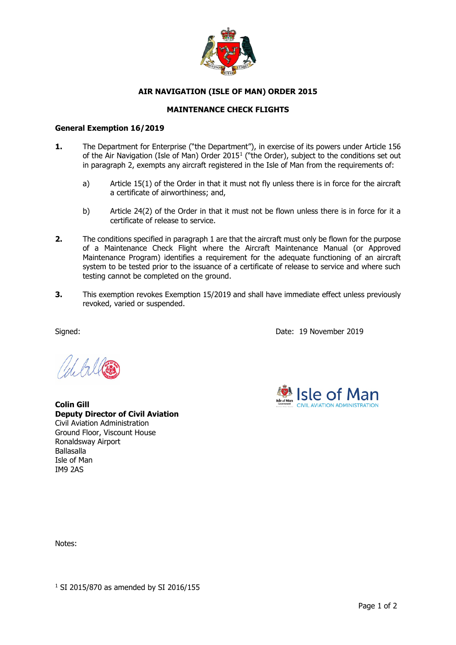

## **AIR NAVIGATION (ISLE OF MAN) ORDER 2015**

## **MAINTENANCE CHECK FLIGHTS**

## **General Exemption 16/2019**

- **1.** The Department for Enterprise ("the Department"), in exercise of its powers under Article 156 of the Air Navigation (Isle of Man) Order 2015<sup>1</sup> ("the Order), subject to the conditions set out in paragraph 2, exempts any aircraft registered in the Isle of Man from the requirements of:
	- a) Article 15(1) of the Order in that it must not fly unless there is in force for the aircraft a certificate of airworthiness; and,
	- b) Article 24(2) of the Order in that it must not be flown unless there is in force for it a certificate of release to service.
- **2.** The conditions specified in paragraph 1 are that the aircraft must only be flown for the purpose of a Maintenance Check Flight where the Aircraft Maintenance Manual (or Approved Maintenance Program) identifies a requirement for the adequate functioning of an aircraft system to be tested prior to the issuance of a certificate of release to service and where such testing cannot be completed on the ground.
- **3.** This exemption revokes Exemption 15/2019 and shall have immediate effect unless previously revoked, varied or suspended.

Signed: Date: 19 November 2019



**Colin Gill Deputy Director of Civil Aviation** Civil Aviation Administration Ground Floor, Viscount House Ronaldsway Airport Ballasalla Isle of Man IM9 2AS

Notes: